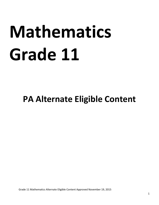# **Mathematics Grade 11**

# **PA Alternate Eligible Content**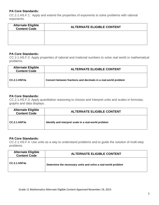CC.2.1.HS.F.1: Apply and extend the properties of exponents to solve problems with rational exponents.

| <b>Alternate Eligible</b><br><b>Content Code</b> | <b>ALTERNATE ELIGIBLE CONTENT</b> |
|--------------------------------------------------|-----------------------------------|
|                                                  |                                   |
|                                                  |                                   |

### **PA Core Standards:**

CC.2.1.HS.F.2: Apply properties of rational and irrational numbers to solve real world or mathematical problems.

| <b>Alternate Eligible</b><br><b>Content Code</b> | <b>ALTERNATE ELIGIBLE CONTENT</b>                              |
|--------------------------------------------------|----------------------------------------------------------------|
| CC.2.1.HSF2a                                     | Convert between fractions and decimals in a real-world problem |

# **PA Core Standards:**

CC.2.1.HS.F.3: Apply quantitative reasoning to choose and Interpret units and scales in formulas, graphs and data displays.

| <b>Alternate Eligible</b><br><b>Content Code</b> | <b>ALTERNATE ELIGIBLE CONTENT</b>                    |
|--------------------------------------------------|------------------------------------------------------|
| CC.2.1.HSF3a                                     | Identify and interpret scale in a real-world problem |

# **PA Core Standards:**

CC.2.1.HS.F.4: Use units as a way to understand problems and to guide the solution of multi-step problems.

| <b>Alternate Eligible</b><br><b>Content Code</b> | <b>ALTERNATE ELIGIBLE CONTENT</b>                            |
|--------------------------------------------------|--------------------------------------------------------------|
| CC.2.1.HSF4a                                     | Determine the necessary units and solve a real-world problem |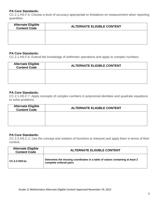CC.2.1.HS.F.5: Choose a level of accuracy appropriate to limitations on measurement when reporting quantities.

| <b>Alternate Eligible</b><br><b>Content Code</b> | <b>ALTERNATE ELIGIBLE CONTENT</b> |
|--------------------------------------------------|-----------------------------------|
|                                                  |                                   |
|                                                  |                                   |

#### **PA Core Standards:**

CC.2.1.HS.F.6: Extend the knowledge of arithmetic operations and apply to complex numbers.

| <b>Alternate Eligible</b><br><b>Content Code</b> | <b>ALTERNATE ELIGIBLE CONTENT</b> |
|--------------------------------------------------|-----------------------------------|
|                                                  |                                   |
|                                                  |                                   |

#### **PA Core Standards:**

CC.2.1.HS.F.7: Apply concepts of complex numbers in polynomial identities and quadratic equations to solve problems.

| <b>Alternate Eligible</b><br><b>Content Code</b> | <b>ALTERNATE ELIGIBLE CONTENT</b> |
|--------------------------------------------------|-----------------------------------|
|                                                  |                                   |
|                                                  |                                   |

#### **PA Core Standards:**

CC.2.2.HS.C.1: Use the concept and notation of functions to interpret and apply them in terms of their context.

| <b>Alternate Eligible</b><br><b>Content Code</b> | <b>ALTERNATE ELIGIBLE CONTENT</b>                                                                      |
|--------------------------------------------------|--------------------------------------------------------------------------------------------------------|
| CC.2.2.HSC1a                                     | Determine the missing coordinates in a table of values containing at least 2<br>complete ordered pairs |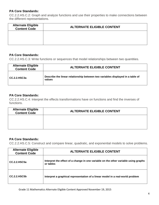CC.2.2.HS.C.2: Graph and analyze functions and use their properties to make connections between the different representations.

| <b>Alternate Eligible</b><br><b>Content Code</b> | <b>ALTERNATE ELIGIBLE CONTENT</b> |
|--------------------------------------------------|-----------------------------------|
|                                                  |                                   |
|                                                  |                                   |

# **PA Core Standards:**

CC.2.2.HS.C.3: Write functions or sequences that model relationships between two quantities.

| <b>Alternate Eligible</b><br><b>Content Code</b> | <b>ALTERNATE ELIGIBLE CONTENT</b>                                                        |
|--------------------------------------------------|------------------------------------------------------------------------------------------|
| CC.2.2.HSC3a                                     | Describe the linear relationship between two variables displayed in a table of<br>values |

# **PA Core Standards:**

CC.2.2.HS.C.4: Interpret the effects transformations have on functions and find the inverses of functions.

| <b>Alternate Eligible</b><br><b>Content Code</b> | <b>ALTERNATE ELIGIBLE CONTENT</b> |
|--------------------------------------------------|-----------------------------------|
|                                                  |                                   |
|                                                  |                                   |

# **PA Core Standards:**

CC.2.2.HS.C.5: Construct and compare linear, quadratic, and exponential models to solve problems.

| <b>Alternate Eligible</b><br><b>Content Code</b> | <b>ALTERNATE ELIGIBLE CONTENT</b>                                                                |
|--------------------------------------------------|--------------------------------------------------------------------------------------------------|
| <b>CC.2.2.HSC5a</b>                              | Interpret the effect of a change in one variable on the other variable using graphs<br>or tables |
| <b>CC.2.2.HSC5b</b>                              | Interpret a graphical representation of a linear model in a real-world problem                   |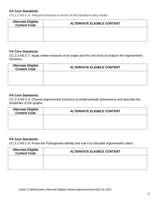CC.2.2.HS.C.6: Interpret functions in terms of the situations they model.

| <b>Alternate Eligible</b><br><b>Content Code</b> | <b>ALTERNATE ELIGIBLE CONTENT</b> |
|--------------------------------------------------|-----------------------------------|
|                                                  |                                   |
|                                                  |                                   |

#### **PA Core Standards:**

CC.2.2.HS.C.7: Apply radian measure of an angle and the unit circle to analyze the trigonometric functions.

| <b>Alternate Eligible</b><br><b>Content Code</b> | <b>ALTERNATE ELIGIBLE CONTENT</b> |
|--------------------------------------------------|-----------------------------------|
|                                                  |                                   |
|                                                  |                                   |

#### **PA Core Standards:**

CC.2.2.HS.C.8: Choose trigonometric functions to model periodic phenomena and describe the properties of the graphs.

| <b>Alternate Eligible</b><br><b>Content Code</b> | <b>ALTERNATE ELIGIBLE CONTENT</b> |
|--------------------------------------------------|-----------------------------------|
|                                                  |                                   |
|                                                  |                                   |

# **PA Core Standards:**

CC.2.2.HS.C.9: Prove the Pythagorean identity and use it to calculate trigonometric ratios.

| <b>Alternate Eligible</b><br><b>Content Code</b> | <b>ALTERNATE ELIGIBLE CONTENT</b> |
|--------------------------------------------------|-----------------------------------|
|                                                  |                                   |
|                                                  |                                   |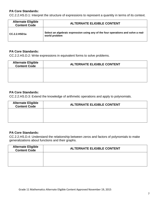CC.2.2.HS.D.1: Interpret the structure of expressions to represent a quantity in terms of its context.

| <b>Alternate Eligible</b><br><b>Content Code</b> | <b>ALTERNATE ELIGIBLE CONTENT</b>                                                                  |
|--------------------------------------------------|----------------------------------------------------------------------------------------------------|
| CC.2.2.HSD1a                                     | Select an algebraic expression using any of the four operations and solve a real-<br>world problem |

#### **PA Core Standards:**

CC.2.2.HS.D.2: Write expressions in equivalent forms to solve problems.

| <b>Alternate Eligible</b><br><b>Content Code</b> | <b>ALTERNATE ELIGIBLE CONTENT</b> |
|--------------------------------------------------|-----------------------------------|
|                                                  |                                   |
|                                                  |                                   |

#### **PA Core Standards:**

CC.2.2.HS.D.3: Extend the knowledge of arithmetic operations and apply to polynomials.

| <b>Alternate Eligible</b><br><b>Content Code</b> | <b>ALTERNATE ELIGIBLE CONTENT</b> |
|--------------------------------------------------|-----------------------------------|
|                                                  |                                   |
|                                                  |                                   |

# **PA Core Standards:**

CC.2.2.HS.D.4: Understand the relationship between zeros and factors of polynomials to make generalizations about functions and their graphs.

| <b>Alternate Eligible</b><br><b>Content Code</b> | <b>ALTERNATE ELIGIBLE CONTENT</b> |
|--------------------------------------------------|-----------------------------------|
|                                                  |                                   |
|                                                  |                                   |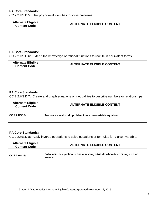CC.2.2.HS.D.5: Use polynomial identities to solve problems.

| <b>Alternate Eligible<br/>Content Code</b> | <b>ALTERNATE ELIGIBLE CONTENT</b> |
|--------------------------------------------|-----------------------------------|
|                                            |                                   |
|                                            |                                   |

# **PA Core Standards:**

CC.2.2.HS.D.6: Extend the knowledge of rational functions to rewrite in equivalent forms.

| <b>Alternate Eligible</b><br><b>Content Code</b> | <b>ALTERNATE ELIGIBLE CONTENT</b> |
|--------------------------------------------------|-----------------------------------|
|                                                  |                                   |
|                                                  |                                   |

#### **PA Core Standards:**

CC.2.2.HS.D.7: Create and graph equations or inequalities to describe numbers or relationships.

| <b>Alternate Eligible</b><br><b>Content Code</b> | <b>ALTERNATE ELIGIBLE CONTENT</b>                           |
|--------------------------------------------------|-------------------------------------------------------------|
| CC.2.2.HSD7a                                     | Translate a real-world problem into a one-variable equation |

# **PA Core Standards:**

CC.2.2.HS.D.8: Apply inverse operations to solve equations or formulas for a given variable.

| <b>Alternate Eligible</b><br><b>Content Code</b> | <b>ALTERNATE ELIGIBLE CONTENT</b>                                                      |
|--------------------------------------------------|----------------------------------------------------------------------------------------|
| CC.2.2.HSD8a                                     | Solve a linear equation to find a missing attribute when determining area or<br>volume |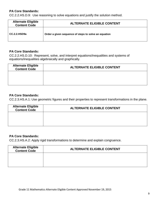CC.2.2.HS.D.9: Use reasoning to solve equations and justify the solution method.

| <b>Alternate Eligible</b><br><b>Content Code</b> | <b>ALTERNATE ELIGIBLE CONTENT</b>                    |
|--------------------------------------------------|------------------------------------------------------|
| $CC.2.2.$ HSD $9a$                               | Order a given sequence of steps to solve an equation |

#### **PA Core Standards:**

CC.2.2.HS.D.10: Represent, solve, and interpret equations/inequalities and systems of equations/inequalities algebraically and graphically.

| <b>Alternate Eligible</b><br><b>Content Code</b> | <b>ALTERNATE ELIGIBLE CONTENT</b> |
|--------------------------------------------------|-----------------------------------|
|                                                  |                                   |
|                                                  |                                   |

### **PA Core Standards:**

CC.2.3.HS.A.1: Use geometric figures and their properties to represent transformations in the plane.

| <b>Alternate Eligible</b><br><b>Content Code</b> | <b>ALTERNATE ELIGIBLE CONTENT</b> |
|--------------------------------------------------|-----------------------------------|
|                                                  |                                   |
|                                                  |                                   |

# **PA Core Standards:**

CC.2.3.HS.A.2: Apply rigid transformations to determine and explain congruence.

| <b>Alternate Eligible</b><br><b>Content Code</b> | <b>ALTERNATE ELIGIBLE CONTENT</b> |
|--------------------------------------------------|-----------------------------------|
|                                                  |                                   |
|                                                  |                                   |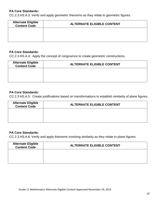CC.2.3.HS.A.3: Verify and apply geometric theorems as they relate to geometric figures.

| <b>Alternate Eligible<br/>Content Code</b> | <b>ALTERNATE ELIGIBLE CONTENT</b> |
|--------------------------------------------|-----------------------------------|
|                                            |                                   |
|                                            |                                   |

# **PA Core Standards:**

CC.2.3.HS.A.4: Apply the concept of congruence to create geometric constructions.

| <b>Alternate Eligible</b><br><b>Content Code</b> | <b>ALTERNATE ELIGIBLE CONTENT</b> |
|--------------------------------------------------|-----------------------------------|
|                                                  |                                   |
|                                                  |                                   |

#### **PA Core Standards:**

CC.2.3.HS.A.5: Create justifications based on transformations to establish similarity of plane figures.

| <b>Alternate Eligible</b><br><b>Content Code</b> | <b>ALTERNATE ELIGIBLE CONTENT</b> |
|--------------------------------------------------|-----------------------------------|
|                                                  |                                   |
|                                                  |                                   |

# **PA Core Standards:**

CC.2.3.HS.A.6: Verify and apply theorems involving similarity as they relate to plane figures.

| <b>Alternate Eligible</b><br><b>Content Code</b> | <b>ALTERNATE ELIGIBLE CONTENT</b> |
|--------------------------------------------------|-----------------------------------|
|                                                  |                                   |
|                                                  |                                   |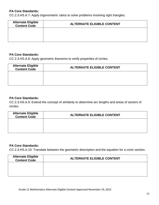CC.2.3.HS.A.7: Apply trigonometric ratios to solve problems involving right triangles.

| <b>Alternate Eligible</b><br><b>Content Code</b> | <b>ALTERNATE ELIGIBLE CONTENT</b> |
|--------------------------------------------------|-----------------------------------|
|                                                  |                                   |
|                                                  |                                   |

### **PA Core Standards:**

CC.2.3.HS.A.8: Apply geometric theorems to verify properties of circles.

| <b>Alternate Eligible</b><br><b>Content Code</b> | <b>ALTERNATE ELIGIBLE CONTENT</b> |
|--------------------------------------------------|-----------------------------------|
|                                                  |                                   |
|                                                  |                                   |

### **PA Core Standards:**

CC.2.3.HS.A.9: Extend the concept of similarity to determine arc lengths and areas of sectors of circles.

| <b>Alternate Eligible</b><br><b>Content Code</b> | <b>ALTERNATE ELIGIBLE CONTENT</b> |
|--------------------------------------------------|-----------------------------------|
|                                                  |                                   |
|                                                  |                                   |

#### **PA Core Standards:**

CC.2.3.HS.A.10: Translate between the geometric description and the equation for a conic section.

| <b>Alternate Eligible</b><br><b>Content Code</b> | <b>ALTERNATE ELIGIBLE CONTENT</b> |
|--------------------------------------------------|-----------------------------------|
|                                                  |                                   |
|                                                  |                                   |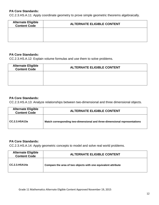CC.2.3.HS.A.11: Apply coordinate geometry to prove simple geometric theorems algebraically.

| <b>Alternate Eligible</b><br><b>Content Code</b> | <b>ALTERNATE ELIGIBLE CONTENT</b> |
|--------------------------------------------------|-----------------------------------|
|                                                  |                                   |
|                                                  |                                   |

#### **PA Core Standards:**

CC.2.3.HS.A.12: Explain volume formulas and use them to solve problems.

| <b>Alternate Eligible</b><br><b>Content Code</b> | <b>ALTERNATE ELIGIBLE CONTENT</b> |
|--------------------------------------------------|-----------------------------------|
|                                                  |                                   |
|                                                  |                                   |

#### **PA Core Standards:**

CC.2.3.HS.A.13: Analyze relationships between two-dimensional and three dimensional objects.

| <b>Alternate Eligible</b><br><b>Content Code</b> | <b>ALTERNATE ELIGIBLE CONTENT</b>                                         |
|--------------------------------------------------|---------------------------------------------------------------------------|
| CC.2.3.HSA13a                                    | Match corresponding two-dimensional and three-dimensional representations |

#### **PA Core Standards:**

CC.2.3.HS.A.14: Apply geometric concepts to model and solve real world problems.

| <b>Alternate Eligible</b><br><b>Content Code</b> | <b>ALTERNATE ELIGIBLE CONTENT</b>                             |
|--------------------------------------------------|---------------------------------------------------------------|
| CC.2.3.HSA14a                                    | Compare the area of two objects with one equivalent attribute |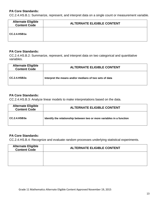CC.2.4.HS.B.1: Summarize, represent, and interpret data on a single count or measurement variable.

| <b>Alternate Eligible</b><br><b>Content Code</b> | <b>ALTERNATE ELIGIBLE CONTENT</b> |
|--------------------------------------------------|-----------------------------------|
| $CC.2.4.$ HSB1a                                  |                                   |

#### **PA Core Standards:**

CC.2.4.HS.B.2: Summarize, represent, and interpret data on two categorical and quantitative variables.

| <b>Alternate Eligible</b><br><b>Content Code</b> | <b>ALTERNATE ELIGIBLE CONTENT</b>                      |
|--------------------------------------------------|--------------------------------------------------------|
| CC.2.4.HSB2a                                     | Interpret the means and/or medians of two sets of data |

#### **PA Core Standards:**

CC.2.4.HS.B.3: Analyze linear models to make interpretations based on the data.

| <b>Alternate Eligible</b><br><b>Content Code</b> | <b>ALTERNATE ELIGIBLE CONTENT</b>                                     |
|--------------------------------------------------|-----------------------------------------------------------------------|
| CC.2.4.HSB3a                                     | Identify the relationship between two or more variables in a function |

# **PA Core Standards:**

CC.2.4.HS.B.4: Recognize and evaluate random processes underlying statistical experiments.

| <b>Alternate Eligible</b><br><b>Content Code</b> | <b>ALTERNATE ELIGIBLE CONTENT</b> |
|--------------------------------------------------|-----------------------------------|
|                                                  |                                   |
|                                                  |                                   |